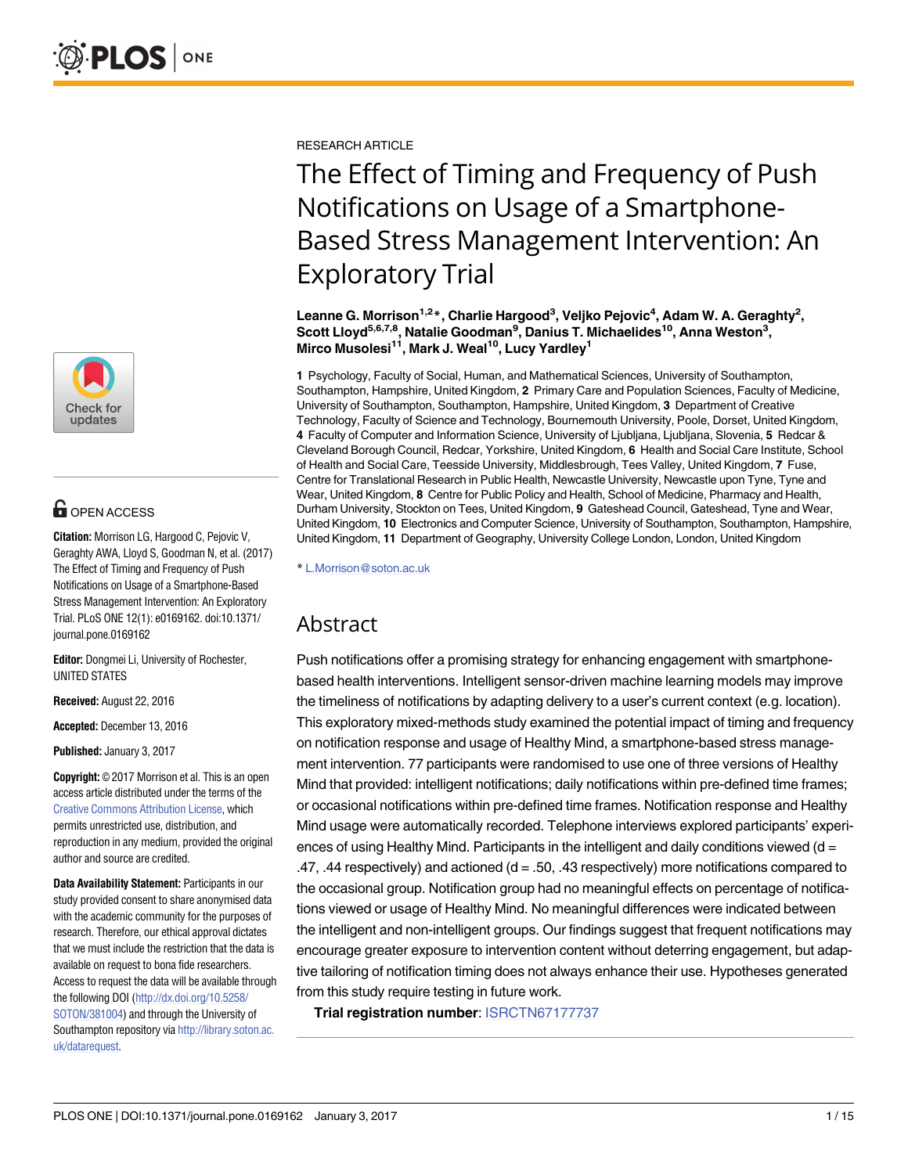

## **OPEN ACCESS**

**Citation:** Morrison LG, Hargood C, Pejovic V, Geraghty AWA, Lloyd S, Goodman N, et al. (2017) The Effect of Timing and Frequency of Push Notifications on Usage of a Smartphone-Based Stress Management Intervention: An Exploratory Trial. PLoS ONE 12(1): e0169162. doi:10.1371/ journal.pone.0169162

**Editor:** Dongmei Li, University of Rochester, UNITED STATES

**Received:** August 22, 2016

**Accepted:** December 13, 2016

**Published:** January 3, 2017

**Copyright:** © 2017 Morrison et al. This is an open access article distributed under the terms of the Creative Commons [Attribution](http://creativecommons.org/licenses/by/4.0/) License, which permits unrestricted use, distribution, and reproduction in any medium, provided the original author and source are credited.

**Data Availability Statement:** Participants in our study provided consent to share anonymised data with the academic community for the purposes of research. Therefore, our ethical approval dictates that we must include the restriction that the data is available on request to bona fide researchers. Access to request the data will be available through the following DOI [\(http://dx.doi.org/10.5258/](http://dx.doi.org/10.5258/SOTON/381004) [SOTON/381004\)](http://dx.doi.org/10.5258/SOTON/381004) and through the University of Southampton repository via [http://library.soton.ac.](http://library.soton.ac.uk/datarequest) [uk/datarequest.](http://library.soton.ac.uk/datarequest)

RESEARCH ARTICLE

# The Effect of Timing and Frequency of Push Notifications on Usage of a Smartphone-Based Stress Management Intervention: An Exploratory Trial

 $\blacksquare$  Leanne G. Morrison $^{1,2}$ \*, Charlie Hargood $^3$ , Veljko Pejovic $^4$ , Adam W. A. Geraghty $^2$ , **Scott Lloyd5,6,7,8, Natalie Goodman9 , Danius T. Michaelides10, Anna Weston3 , Mirco Musolesi11, Mark J. Weal10, Lucy Yardley1**

**1** Psychology, Faculty of Social, Human, and Mathematical Sciences, University of Southampton, Southampton, Hampshire, United Kingdom, **2** Primary Care and Population Sciences, Faculty of Medicine, University of Southampton, Southampton, Hampshire, United Kingdom, **3** Department of Creative Technology, Faculty of Science and Technology, Bournemouth University, Poole, Dorset, United Kingdom, **4** Faculty of Computer and Information Science, University of Ljubljana, Ljubljana, Slovenia, **5** Redcar & Cleveland Borough Council, Redcar, Yorkshire, United Kingdom, **6** Health and Social Care Institute, School of Health and Social Care, Teesside University, Middlesbrough, Tees Valley, United Kingdom, **7** Fuse, Centre for Translational Research in Public Health, Newcastle University, Newcastle upon Tyne, Tyne and Wear, United Kingdom, **8** Centre for Public Policy and Health, School of Medicine, Pharmacy and Health, Durham University, Stockton on Tees, United Kingdom, **9** Gateshead Council, Gateshead, Tyne and Wear, United Kingdom, **10** Electronics and Computer Science, University of Southampton, Southampton, Hampshire, United Kingdom, **11** Department of Geography, University College London, London, United Kingdom

\* L.Morrison@soton.ac.uk

## Abstract

Push notifications offer a promising strategy for enhancing engagement with smartphonebased health interventions. Intelligent sensor-driven machine learning models may improve the timeliness of notifications by adapting delivery to a user's current context (e.g. location). This exploratory mixed-methods study examined the potential impact of timing and frequency on notification response and usage of Healthy Mind, a smartphone-based stress management intervention. 77 participants were randomised to use one of three versions of Healthy Mind that provided: intelligent notifications; daily notifications within pre-defined time frames; or occasional notifications within pre-defined time frames. Notification response and Healthy Mind usage were automatically recorded. Telephone interviews explored participants' experiences of using Healthy Mind. Participants in the intelligent and daily conditions viewed (d = .47, .44 respectively) and actioned (d = .50, .43 respectively) more notifications compared to the occasional group. Notification group had no meaningful effects on percentage of notifications viewed or usage of Healthy Mind. No meaningful differences were indicated between the intelligent and non-intelligent groups. Our findings suggest that frequent notifications may encourage greater exposure to intervention content without deterring engagement, but adaptive tailoring of notification timing does not always enhance their use. Hypotheses generated from this study require testing in future work.

**Trial registration number**: [ISRCTN67177737](http://controlled-trials.com/ISRCTN67177737)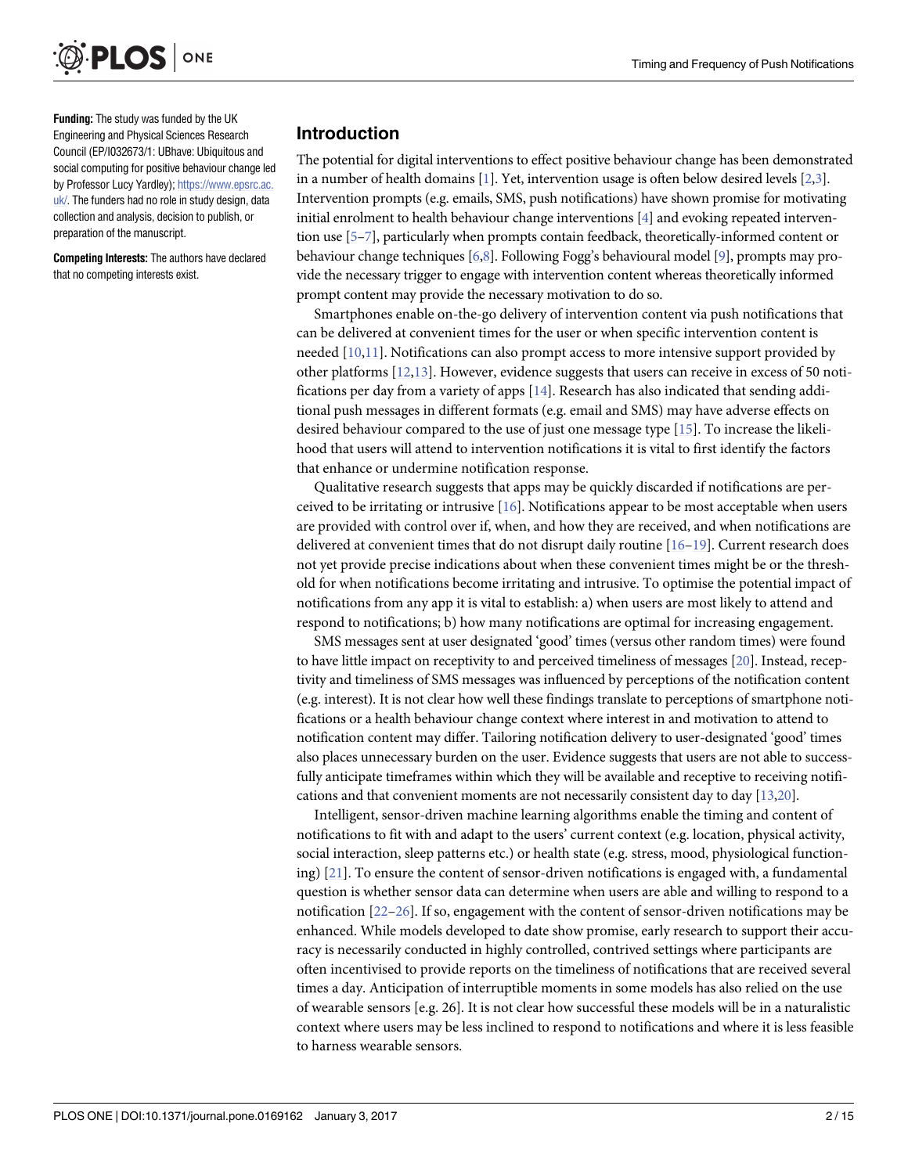<span id="page-1-0"></span>

**Funding:** The study was funded by the UK Engineering and Physical Sciences Research Council (EP/I032673/1: UBhave: Ubiquitous and social computing for positive behaviour change led by Professor Lucy Yardley); [https://www.epsrc.ac.](https://www.epsrc.ac.uk/) [uk/](https://www.epsrc.ac.uk/). The funders had no role in study design, data collection and analysis, decision to publish, or preparation of the manuscript.

**Competing Interests:** The authors have declared that no competing interests exist.

#### **Introduction**

The potential for digital interventions to effect positive behaviour change has been demonstrated in a number of health domains [[1](#page-12-0)]. Yet, intervention usage is often below desired levels [\[2,3\]](#page-12-0). Intervention prompts (e.g. emails, SMS, push notifications) have shown promise for motivating initial enrolment to health behaviour change interventions [\[4\]](#page-12-0) and evoking repeated intervention use [\[5–7\]](#page-12-0), particularly when prompts contain feedback, theoretically-informed content or behaviour change techniques [\[6,8](#page-12-0)]. Following Fogg's behavioural model [[9](#page-12-0)], prompts may provide the necessary trigger to engage with intervention content whereas theoretically informed prompt content may provide the necessary motivation to do so.

Smartphones enable on-the-go delivery of intervention content via push notifications that can be delivered at convenient times for the user or when specific intervention content is needed [\[10,11\]](#page-12-0). Notifications can also prompt access to more intensive support provided by other platforms [[12,13\]](#page-13-0). However, evidence suggests that users can receive in excess of 50 notifications per day from a variety of apps [[14](#page-13-0)]. Research has also indicated that sending additional push messages in different formats (e.g. email and SMS) may have adverse effects on desired behaviour compared to the use of just one message type [[15](#page-13-0)]. To increase the likelihood that users will attend to intervention notifications it is vital to first identify the factors that enhance or undermine notification response.

Qualitative research suggests that apps may be quickly discarded if notifications are perceived to be irritating or intrusive  $[16]$ . Notifications appear to be most acceptable when users are provided with control over if, when, and how they are received, and when notifications are delivered at convenient times that do not disrupt daily routine [16-19]. Current research does not yet provide precise indications about when these convenient times might be or the threshold for when notifications become irritating and intrusive. To optimise the potential impact of notifications from any app it is vital to establish: a) when users are most likely to attend and respond to notifications; b) how many notifications are optimal for increasing engagement.

SMS messages sent at user designated 'good' times (versus other random times) were found to have little impact on receptivity to and perceived timeliness of messages [\[20\]](#page-13-0). Instead, receptivity and timeliness of SMS messages was influenced by perceptions of the notification content (e.g. interest). It is not clear how well these findings translate to perceptions of smartphone notifications or a health behaviour change context where interest in and motivation to attend to notification content may differ. Tailoring notification delivery to user-designated 'good' times also places unnecessary burden on the user. Evidence suggests that users are not able to successfully anticipate timeframes within which they will be available and receptive to receiving notifications and that convenient moments are not necessarily consistent day to day [[13,20\]](#page-13-0).

Intelligent, sensor-driven machine learning algorithms enable the timing and content of notifications to fit with and adapt to the users' current context (e.g. location, physical activity, social interaction, sleep patterns etc.) or health state (e.g. stress, mood, physiological functioning) [[21](#page-13-0)]. To ensure the content of sensor-driven notifications is engaged with, a fundamental question is whether sensor data can determine when users are able and willing to respond to a notification [\[22–26](#page-13-0)]. If so, engagement with the content of sensor-driven notifications may be enhanced. While models developed to date show promise, early research to support their accuracy is necessarily conducted in highly controlled, contrived settings where participants are often incentivised to provide reports on the timeliness of notifications that are received several times a day. Anticipation of interruptible moments in some models has also relied on the use of wearable sensors [e.g. 26]. It is not clear how successful these models will be in a naturalistic context where users may be less inclined to respond to notifications and where it is less feasible to harness wearable sensors.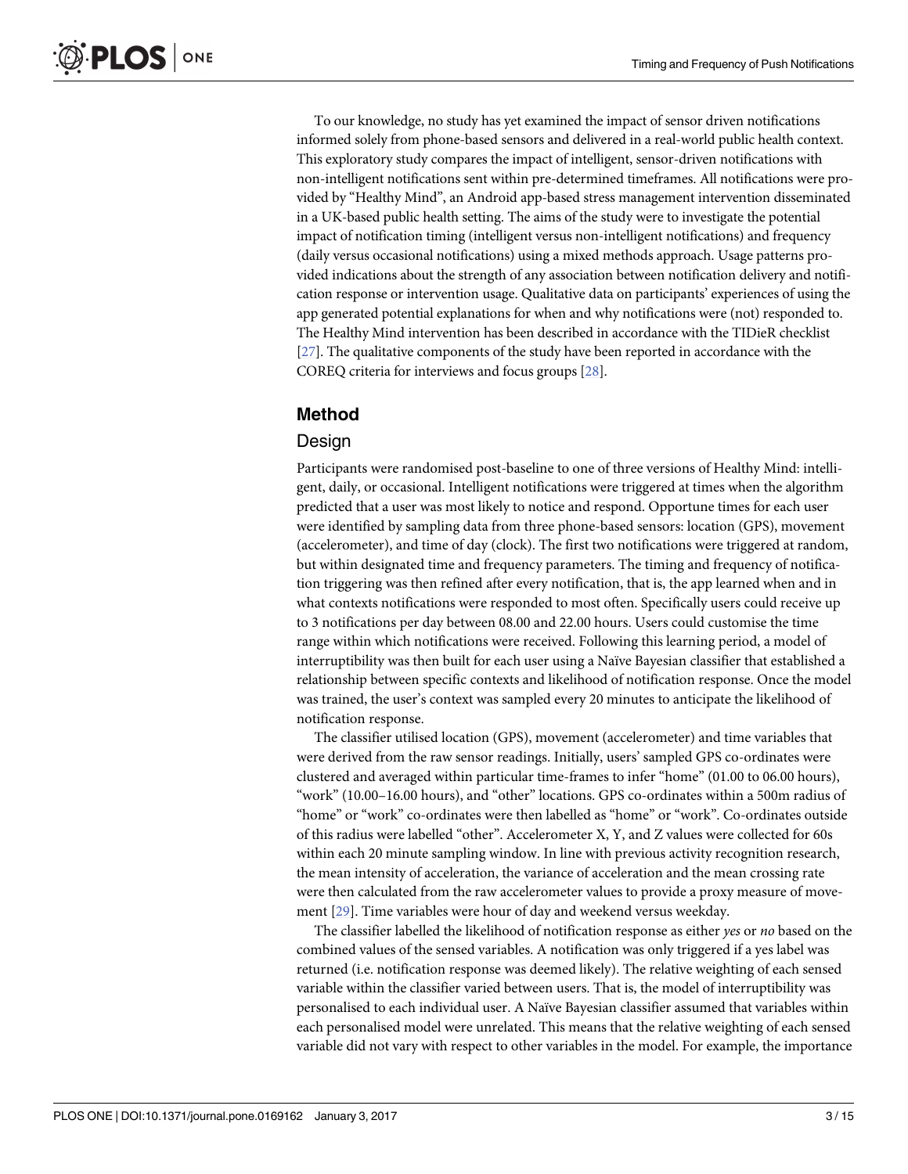<span id="page-2-0"></span>To our knowledge, no study has yet examined the impact of sensor driven notifications informed solely from phone-based sensors and delivered in a real-world public health context. This exploratory study compares the impact of intelligent, sensor-driven notifications with non-intelligent notifications sent within pre-determined timeframes. All notifications were provided by "Healthy Mind", an Android app-based stress management intervention disseminated in a UK-based public health setting. The aims of the study were to investigate the potential impact of notification timing (intelligent versus non-intelligent notifications) and frequency (daily versus occasional notifications) using a mixed methods approach. Usage patterns provided indications about the strength of any association between notification delivery and notification response or intervention usage. Qualitative data on participants' experiences of using the app generated potential explanations for when and why notifications were (not) responded to. The Healthy Mind intervention has been described in accordance with the TIDieR checklist [\[27\]](#page-13-0). The qualitative components of the study have been reported in accordance with the COREQ criteria for interviews and focus groups [[28](#page-13-0)].

## **Method**

#### Design

Participants were randomised post-baseline to one of three versions of Healthy Mind: intelligent, daily, or occasional. Intelligent notifications were triggered at times when the algorithm predicted that a user was most likely to notice and respond. Opportune times for each user were identified by sampling data from three phone-based sensors: location (GPS), movement (accelerometer), and time of day (clock). The first two notifications were triggered at random, but within designated time and frequency parameters. The timing and frequency of notification triggering was then refined after every notification, that is, the app learned when and in what contexts notifications were responded to most often. Specifically users could receive up to 3 notifications per day between 08.00 and 22.00 hours. Users could customise the time range within which notifications were received. Following this learning period, a model of interruptibility was then built for each user using a Naïve Bayesian classifier that established a relationship between specific contexts and likelihood of notification response. Once the model was trained, the user's context was sampled every 20 minutes to anticipate the likelihood of notification response.

The classifier utilised location (GPS), movement (accelerometer) and time variables that were derived from the raw sensor readings. Initially, users' sampled GPS co-ordinates were clustered and averaged within particular time-frames to infer "home" (01.00 to 06.00 hours), "work" (10.00–16.00 hours), and "other" locations. GPS co-ordinates within a 500m radius of "home" or "work" co-ordinates were then labelled as "home" or "work". Co-ordinates outside of this radius were labelled "other". Accelerometer X, Y, and Z values were collected for 60s within each 20 minute sampling window. In line with previous activity recognition research, the mean intensity of acceleration, the variance of acceleration and the mean crossing rate were then calculated from the raw accelerometer values to provide a proxy measure of movement [\[29\]](#page-13-0). Time variables were hour of day and weekend versus weekday.

The classifier labelled the likelihood of notification response as either *yes* or *no* based on the combined values of the sensed variables. A notification was only triggered if a yes label was returned (i.e. notification response was deemed likely). The relative weighting of each sensed variable within the classifier varied between users. That is, the model of interruptibility was personalised to each individual user. A Naïve Bayesian classifier assumed that variables within each personalised model were unrelated. This means that the relative weighting of each sensed variable did not vary with respect to other variables in the model. For example, the importance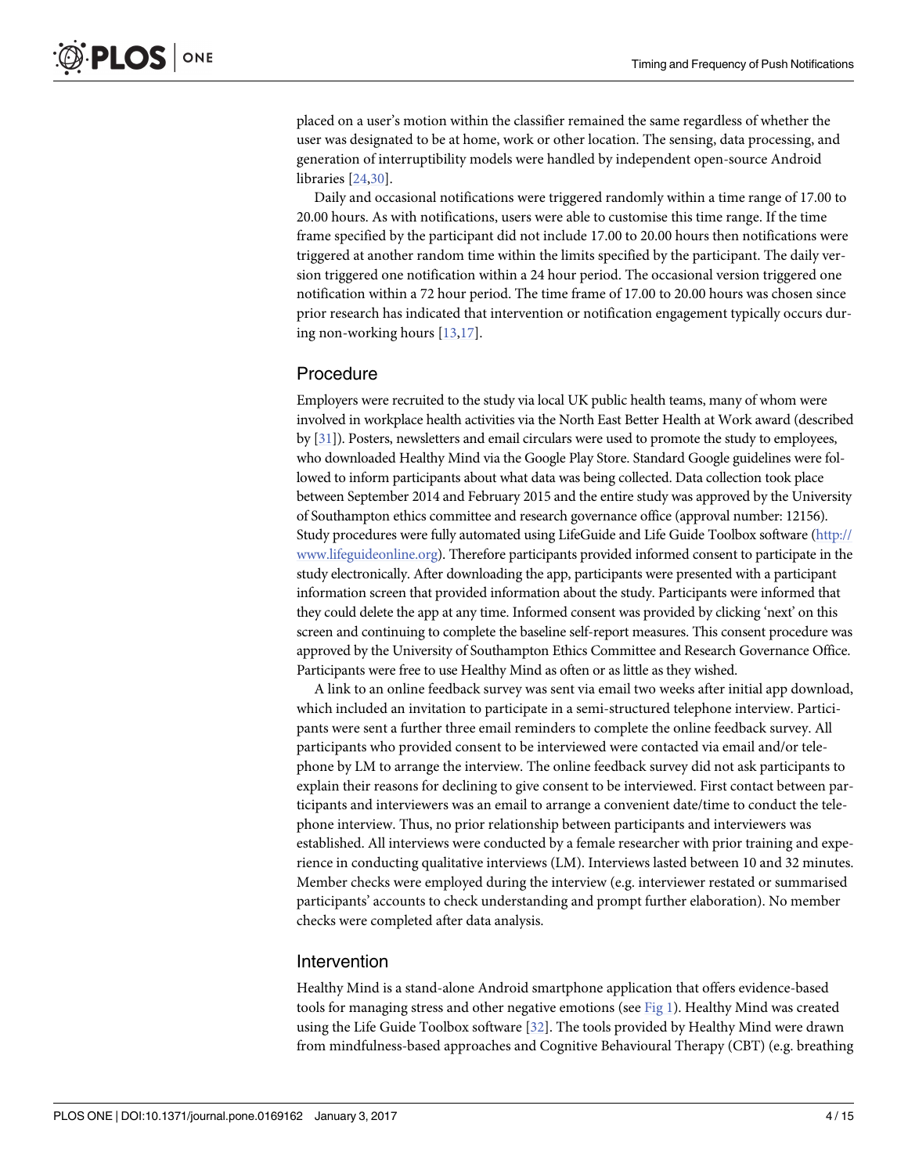<span id="page-3-0"></span>placed on a user's motion within the classifier remained the same regardless of whether the user was designated to be at home, work or other location. The sensing, data processing, and generation of interruptibility models were handled by independent open-source Android libraries [\[24,30](#page-13-0)].

Daily and occasional notifications were triggered randomly within a time range of 17.00 to 20.00 hours. As with notifications, users were able to customise this time range. If the time frame specified by the participant did not include 17.00 to 20.00 hours then notifications were triggered at another random time within the limits specified by the participant. The daily version triggered one notification within a 24 hour period. The occasional version triggered one notification within a 72 hour period. The time frame of 17.00 to 20.00 hours was chosen since prior research has indicated that intervention or notification engagement typically occurs during non-working hours [[13,17\]](#page-13-0).

#### Procedure

Employers were recruited to the study via local UK public health teams, many of whom were involved in workplace health activities via the North East Better Health at Work award (described by [\[31](#page-14-0)]). Posters, newsletters and email circulars were used to promote the study to employees, who downloaded Healthy Mind via the Google Play Store. Standard Google guidelines were followed to inform participants about what data was being collected. Data collection took place between September 2014 and February 2015 and the entire study was approved by the University of Southampton ethics committee and research governance office (approval number: 12156). Study procedures were fully automated using LifeGuide and Life Guide Toolbox software [\(http://](http://www.lifeguideonline.org/) [www.lifeguideonline.org](http://www.lifeguideonline.org/)). Therefore participants provided informed consent to participate in the study electronically. After downloading the app, participants were presented with a participant information screen that provided information about the study. Participants were informed that they could delete the app at any time. Informed consent was provided by clicking 'next' on this screen and continuing to complete the baseline self-report measures. This consent procedure was approved by the University of Southampton Ethics Committee and Research Governance Office. Participants were free to use Healthy Mind as often or as little as they wished.

A link to an online feedback survey was sent via email two weeks after initial app download, which included an invitation to participate in a semi-structured telephone interview. Participants were sent a further three email reminders to complete the online feedback survey. All participants who provided consent to be interviewed were contacted via email and/or telephone by LM to arrange the interview. The online feedback survey did not ask participants to explain their reasons for declining to give consent to be interviewed. First contact between participants and interviewers was an email to arrange a convenient date/time to conduct the telephone interview. Thus, no prior relationship between participants and interviewers was established. All interviews were conducted by a female researcher with prior training and experience in conducting qualitative interviews (LM). Interviews lasted between 10 and 32 minutes. Member checks were employed during the interview (e.g. interviewer restated or summarised participants' accounts to check understanding and prompt further elaboration). No member checks were completed after data analysis.

#### Intervention

Healthy Mind is a stand-alone Android smartphone application that offers evidence-based tools for managing stress and other negative emotions (see [Fig](#page-4-0) 1). Healthy Mind was created using the Life Guide Toolbox software [[32](#page-14-0)]. The tools provided by Healthy Mind were drawn from mindfulness-based approaches and Cognitive Behavioural Therapy (CBT) (e.g. breathing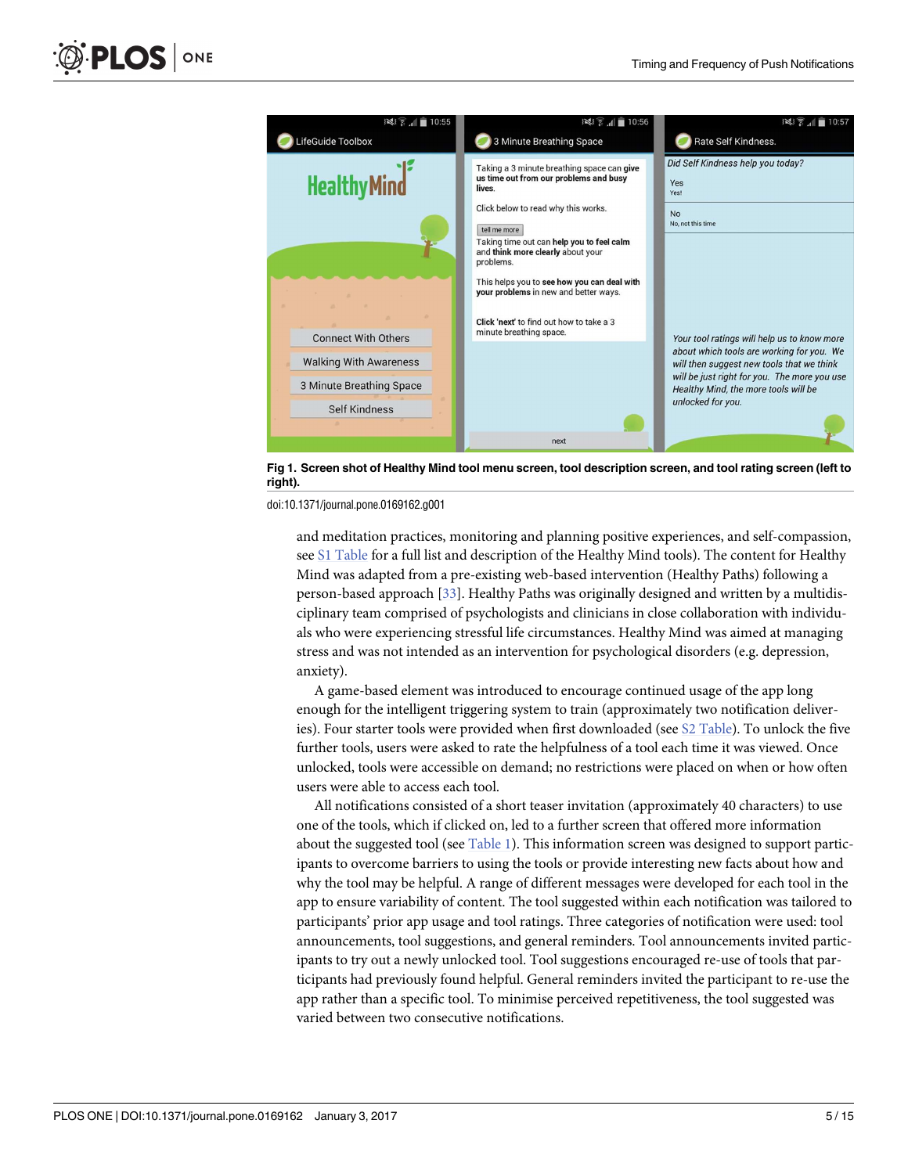<span id="page-4-0"></span>

[Fig](#page-3-0) 1. Screen shot of Healthy Mind tool menu screen, tool description screen, and tool rating screen (left to **right).**

doi:10.1371/journal.pone.0169162.g001

and meditation practices, monitoring and planning positive experiences, and self-compassion, see S1 [Table](#page-11-0) for a full list and description of the Healthy Mind tools). The content for Healthy Mind was adapted from a pre-existing web-based intervention (Healthy Paths) following a person-based approach [\[33\]](#page-14-0). Healthy Paths was originally designed and written by a multidisciplinary team comprised of psychologists and clinicians in close collaboration with individuals who were experiencing stressful life circumstances. Healthy Mind was aimed at managing stress and was not intended as an intervention for psychological disorders (e.g. depression, anxiety).

A game-based element was introduced to encourage continued usage of the app long enough for the intelligent triggering system to train (approximately two notification deliveries). Four starter tools were provided when first downloaded (see S2 [Table\)](#page-11-0). To unlock the five further tools, users were asked to rate the helpfulness of a tool each time it was viewed. Once unlocked, tools were accessible on demand; no restrictions were placed on when or how often users were able to access each tool.

All notifications consisted of a short teaser invitation (approximately 40 characters) to use one of the tools, which if clicked on, led to a further screen that offered more information about the suggested tool (see [Table](#page-5-0) 1). This information screen was designed to support participants to overcome barriers to using the tools or provide interesting new facts about how and why the tool may be helpful. A range of different messages were developed for each tool in the app to ensure variability of content. The tool suggested within each notification was tailored to participants' prior app usage and tool ratings. Three categories of notification were used: tool announcements, tool suggestions, and general reminders. Tool announcements invited participants to try out a newly unlocked tool. Tool suggestions encouraged re-use of tools that participants had previously found helpful. General reminders invited the participant to re-use the app rather than a specific tool. To minimise perceived repetitiveness, the tool suggested was varied between two consecutive notifications.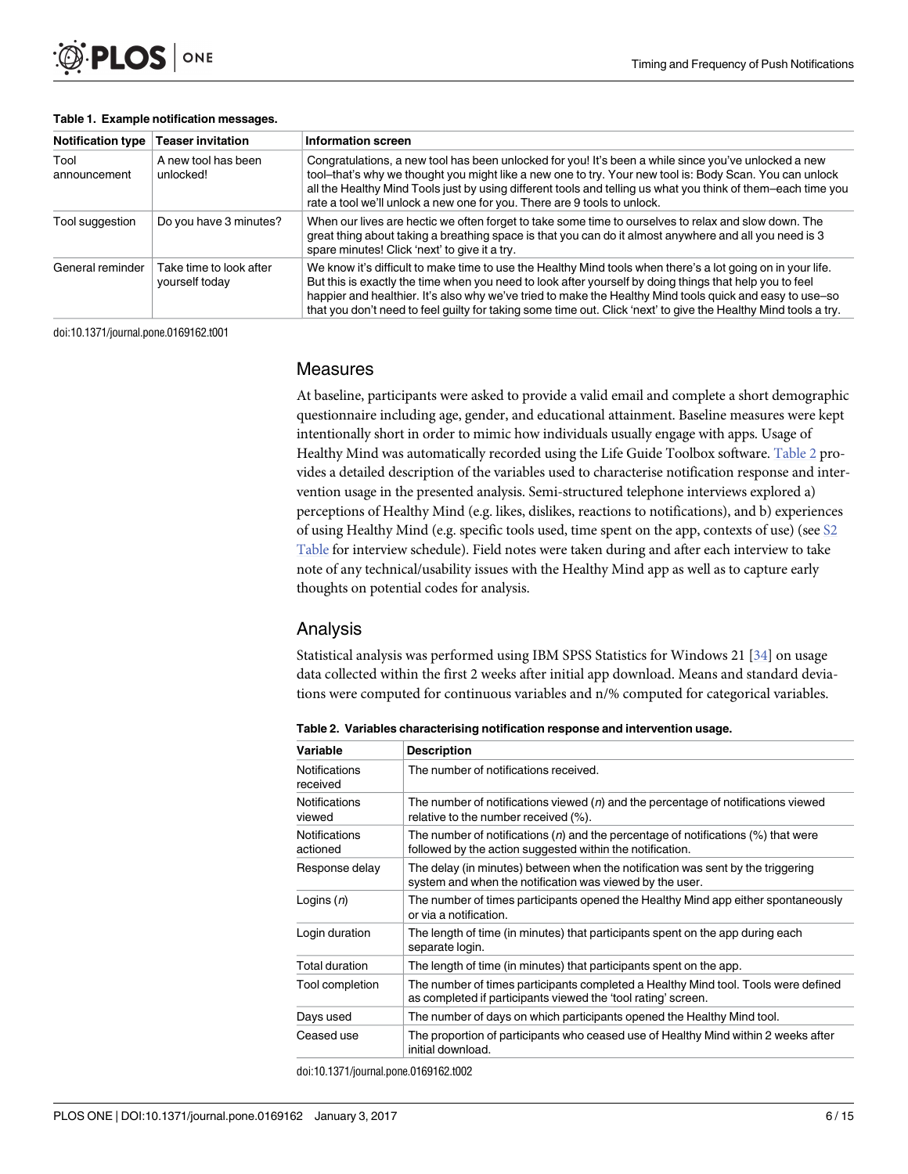#### **[Table](#page-4-0) 1. Example notification messages.**

<span id="page-5-0"></span>**PLOS** 

ONE

| <b>Notification type</b> | <b>Teaser invitation</b>                  | Information screen                                                                                                                                                                                                                                                                                                                                                                                                                                    |  |  |  |
|--------------------------|-------------------------------------------|-------------------------------------------------------------------------------------------------------------------------------------------------------------------------------------------------------------------------------------------------------------------------------------------------------------------------------------------------------------------------------------------------------------------------------------------------------|--|--|--|
| Tool<br>announcement     | A new tool has been<br>unlocked!          | Congratulations, a new tool has been unlocked for you! It's been a while since you've unlocked a new<br>tool-that's why we thought you might like a new one to try. Your new tool is: Body Scan. You can unlock<br>all the Healthy Mind Tools just by using different tools and telling us what you think of them-each time you<br>rate a tool we'll unlock a new one for you. There are 9 tools to unlock.                                           |  |  |  |
| Tool suggestion          | Do you have 3 minutes?                    | When our lives are hectic we often forget to take some time to ourselves to relax and slow down. The<br>great thing about taking a breathing space is that you can do it almost anywhere and all you need is 3<br>spare minutes! Click 'next' to give it a try.                                                                                                                                                                                       |  |  |  |
| General reminder         | Take time to look after<br>yourself today | We know it's difficult to make time to use the Healthy Mind tools when there's a lot going on in your life.<br>But this is exactly the time when you need to look after yourself by doing things that help you to feel<br>happier and healthier. It's also why we've tried to make the Healthy Mind tools quick and easy to use-so<br>that you don't need to feel quilty for taking some time out. Click 'next' to give the Healthy Mind tools a try. |  |  |  |

doi:10.1371/journal.pone.0169162.t001

#### **Measures**

At baseline, participants were asked to provide a valid email and complete a short demographic questionnaire including age, gender, and educational attainment. Baseline measures were kept intentionally short in order to mimic how individuals usually engage with apps. Usage of Healthy Mind was automatically recorded using the Life Guide Toolbox software. Table 2 provides a detailed description of the variables used to characterise notification response and intervention usage in the presented analysis. Semi-structured telephone interviews explored a) perceptions of Healthy Mind (e.g. likes, dislikes, reactions to notifications), and b) experiences of using Healthy Mind (e.g. specific tools used, time spent on the app, contexts of use) (see [S2](#page-11-0) [Table](#page-11-0) for interview schedule). Field notes were taken during and after each interview to take note of any technical/usability issues with the Healthy Mind app as well as to capture early thoughts on potential codes for analysis.

#### Analysis

Statistical analysis was performed using IBM SPSS Statistics for Windows 21 [\[34\]](#page-14-0) on usage data collected within the first 2 weeks after initial app download. Means and standard deviations were computed for continuous variables and n/% computed for categorical variables.

| Variable                       | <b>Description</b>                                                                                                                                  |
|--------------------------------|-----------------------------------------------------------------------------------------------------------------------------------------------------|
| Notifications<br>received      | The number of notifications received.                                                                                                               |
| <b>Notifications</b><br>viewed | The number of notifications viewed $(n)$ and the percentage of notifications viewed<br>relative to the number received (%).                         |
| Notifications<br>actioned      | The number of notifications $(n)$ and the percentage of notifications $(*)$ that were<br>followed by the action suggested within the notification.  |
| Response delay                 | The delay (in minutes) between when the notification was sent by the triggering<br>system and when the notification was viewed by the user.         |
| Logins ( <i>n</i> )            | The number of times participants opened the Healthy Mind app either spontaneously<br>or via a notification.                                         |
| Login duration                 | The length of time (in minutes) that participants spent on the app during each<br>separate login.                                                   |
| Total duration                 | The length of time (in minutes) that participants spent on the app.                                                                                 |
| Tool completion                | The number of times participants completed a Healthy Mind tool. Tools were defined<br>as completed if participants viewed the 'tool rating' screen. |
| Days used                      | The number of days on which participants opened the Healthy Mind tool.                                                                              |
| Ceased use                     | The proportion of participants who ceased use of Healthy Mind within 2 weeks after<br>initial download.                                             |
|                                |                                                                                                                                                     |

**Table 2. Variables characterising notification response and intervention usage.**

doi:10.1371/journal.pone.0169162.t002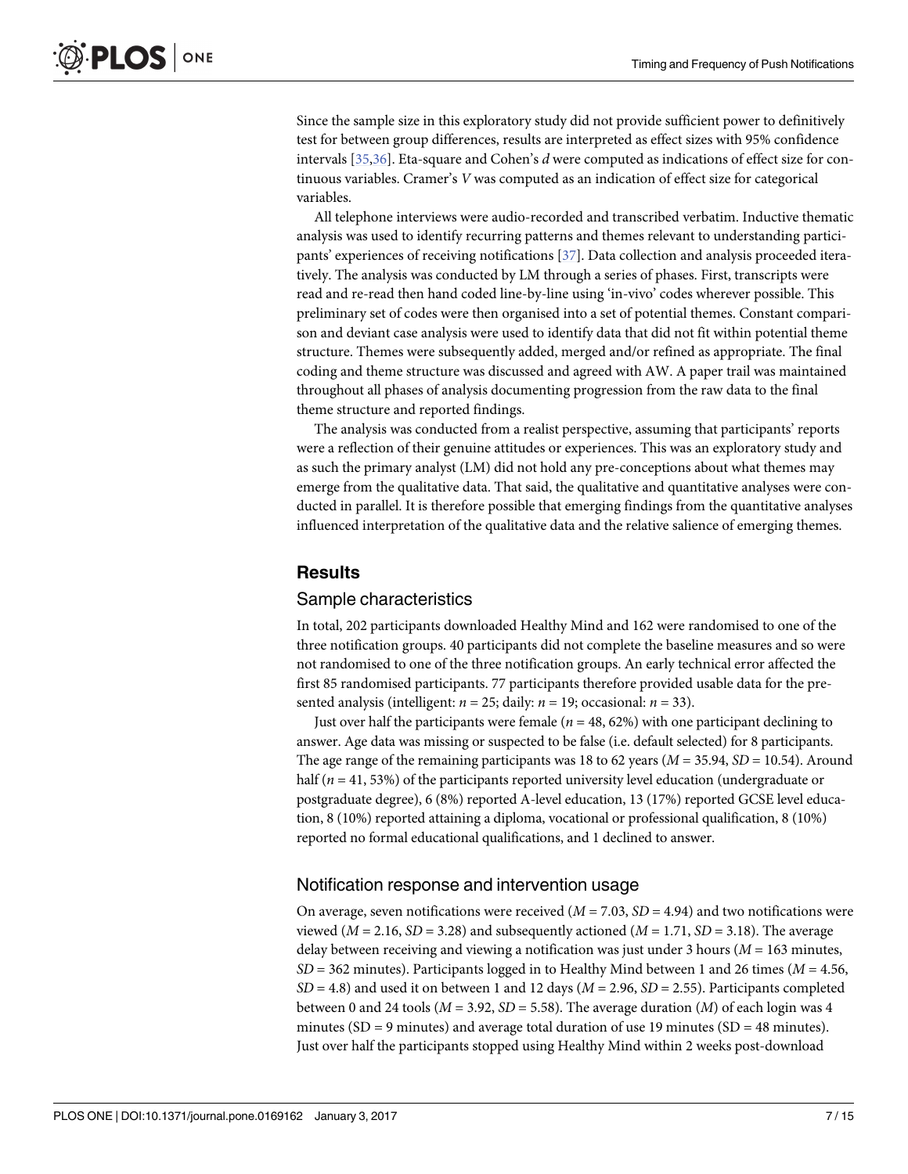<span id="page-6-0"></span>Since the sample size in this exploratory study did not provide sufficient power to definitively test for between group differences, results are interpreted as effect sizes with 95% confidence intervals [[35,36\]](#page-14-0). Eta-square and Cohen's *d* were computed as indications of effect size for continuous variables. Cramer's *V* was computed as an indication of effect size for categorical variables.

All telephone interviews were audio-recorded and transcribed verbatim. Inductive thematic analysis was used to identify recurring patterns and themes relevant to understanding participants' experiences of receiving notifications [\[37\]](#page-14-0). Data collection and analysis proceeded iteratively. The analysis was conducted by LM through a series of phases. First, transcripts were read and re-read then hand coded line-by-line using 'in-vivo' codes wherever possible. This preliminary set of codes were then organised into a set of potential themes. Constant comparison and deviant case analysis were used to identify data that did not fit within potential theme structure. Themes were subsequently added, merged and/or refined as appropriate. The final coding and theme structure was discussed and agreed with AW. A paper trail was maintained throughout all phases of analysis documenting progression from the raw data to the final theme structure and reported findings.

The analysis was conducted from a realist perspective, assuming that participants' reports were a reflection of their genuine attitudes or experiences. This was an exploratory study and as such the primary analyst (LM) did not hold any pre-conceptions about what themes may emerge from the qualitative data. That said, the qualitative and quantitative analyses were conducted in parallel. It is therefore possible that emerging findings from the quantitative analyses influenced interpretation of the qualitative data and the relative salience of emerging themes.

#### **Results**

#### Sample characteristics

In total, 202 participants downloaded Healthy Mind and 162 were randomised to one of the three notification groups. 40 participants did not complete the baseline measures and so were not randomised to one of the three notification groups. An early technical error affected the first 85 randomised participants. 77 participants therefore provided usable data for the presented analysis (intelligent:  $n = 25$ ; daily:  $n = 19$ ; occasional:  $n = 33$ ).

Just over half the participants were female ( $n = 48, 62\%$ ) with one participant declining to answer. Age data was missing or suspected to be false (i.e. default selected) for 8 participants. The age range of the remaining participants was 18 to 62 years ( $M = 35.94$ ,  $SD = 10.54$ ). Around half ( $n = 41$ , 53%) of the participants reported university level education (undergraduate or postgraduate degree), 6 (8%) reported A-level education, 13 (17%) reported GCSE level education, 8 (10%) reported attaining a diploma, vocational or professional qualification, 8 (10%) reported no formal educational qualifications, and 1 declined to answer.

#### Notification response and intervention usage

On average, seven notifications were received  $(M = 7.03, SD = 4.94)$  and two notifications were viewed ( $M = 2.16$ ,  $SD = 3.28$ ) and subsequently actioned ( $M = 1.71$ ,  $SD = 3.18$ ). The average delay between receiving and viewing a notification was just under 3 hours (*M* = 163 minutes, *SD* = 362 minutes). Participants logged in to Healthy Mind between 1 and 26 times (*M* = 4.56,  $SD = 4.8$ ) and used it on between 1 and 12 days ( $M = 2.96$ ,  $SD = 2.55$ ). Participants completed between 0 and 24 tools ( $M = 3.92$ ,  $SD = 5.58$ ). The average duration ( $M$ ) of each login was 4 minutes ( $SD = 9$  minutes) and average total duration of use 19 minutes ( $SD = 48$  minutes). Just over half the participants stopped using Healthy Mind within 2 weeks post-download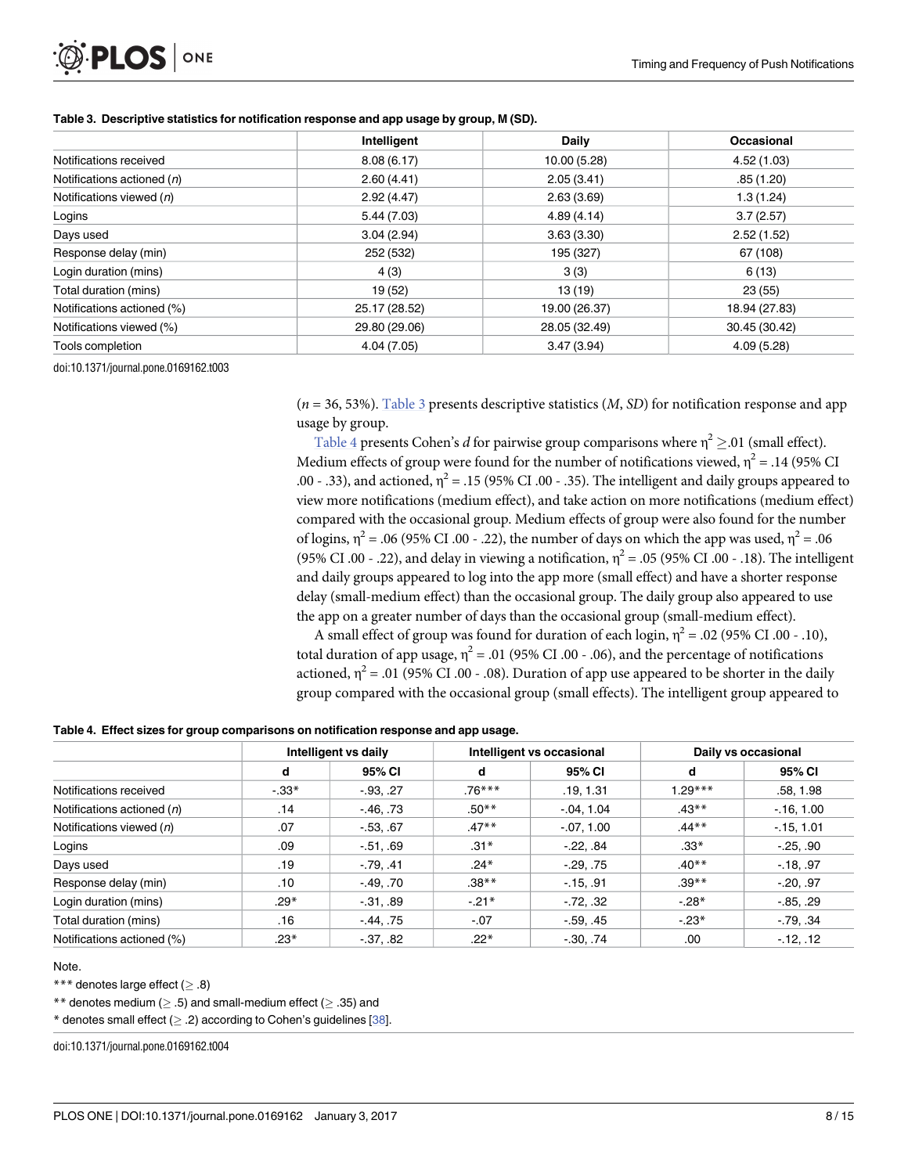|                            | Intelligent   | Daily         | <b>Occasional</b> |
|----------------------------|---------------|---------------|-------------------|
| Notifications received     | 8.08(6.17)    | 10.00 (5.28)  | 4.52(1.03)        |
| Notifications actioned (n) | 2.60(4.41)    | 2.05(3.41)    | .85(1.20)         |
| Notifications viewed (n)   | 2.92(4.47)    | 2.63(3.69)    | 1.3(1.24)         |
| Logins                     | 5.44(7.03)    | 4.89(4.14)    | 3.7(2.57)         |
| Days used                  | 3.04(2.94)    | 3.63(3.30)    | 2.52(1.52)        |
| Response delay (min)       | 252 (532)     | 195 (327)     | 67 (108)          |
| Login duration (mins)      | 4(3)          | 3(3)          | 6 (13)            |
| Total duration (mins)      | 19 (52)       | 13(19)        | 23(55)            |
| Notifications actioned (%) | 25.17 (28.52) | 19.00 (26.37) | 18.94 (27.83)     |
| Notifications viewed (%)   | 29.80 (29.06) | 28.05 (32.49) | 30.45 (30.42)     |
| Tools completion           | 4.04(7.05)    | 3.47(3.94)    | 4.09(5.28)        |

#### <span id="page-7-0"></span>**Table 3. Descriptive statistics for notification response and app usage by group, M (SD).**

doi:10.1371/journal.pone.0169162.t003

(*n* = 36, 53%). Table 3 presents descriptive statistics (*M*, *SD*) for notification response and app usage by group.

Table 4 presents Cohen's *d* for pairwise group comparisons where  $\eta^2 \ge 0.01$  (small effect). Medium effects of group were found for the number of notifications viewed,  $\eta^2 = .14$  (95% CI .00 - .33), and actioned,  $\eta^2$  = .15 (95% CI .00 - .35). The intelligent and daily groups appeared to view more notifications (medium effect), and take action on more notifications (medium effect) compared with the occasional group. Medium effects of group were also found for the number of logins,  $\eta^2$  = .06 (95% CI .00 - .22), the number of days on which the app was used,  $\eta^2$  = .06 (95% CI .00 - .22), and delay in viewing a notification,  $\eta^2 = 0.05$  (95% CI .00 - .18). The intelligent and daily groups appeared to log into the app more (small effect) and have a shorter response delay (small-medium effect) than the occasional group. The daily group also appeared to use the app on a greater number of days than the occasional group (small-medium effect).

A small effect of group was found for duration of each login,  $\eta^2 = .02$  (95% CI .00 - .10), total duration of app usage,  $\eta^2 = .01$  (95% CI .00 - .06), and the percentage of notifications actioned,  $\eta^2$  = .01 (95% CI .00 - .08). Duration of app use appeared to be shorter in the daily group compared with the occasional group (small effects). The intelligent group appeared to

|                              | Intelligent vs daily |             | Intelligent vs occasional |             | Daily vs occasional |              |
|------------------------------|----------------------|-------------|---------------------------|-------------|---------------------|--------------|
|                              | d                    | 95% CI      | d                         | 95% CI      | d                   | 95% CI       |
| Notifications received       | $-33*$               | $-.93, .27$ | $76***$                   | .19, 1.31   | $1.29***$           | .58, 1.98    |
| Notifications actioned $(n)$ | .14                  | $-46, .73$  | $.50**$                   | $-04, 1.04$ | $.43**$             | $-16, 1.00$  |
| Notifications viewed $(n)$   | .07                  | $-53.067$   | $.47**$                   | $-07.100$   | $.44**$             | $-15, 1.01$  |
| Logins                       | .09                  | $-0.51.09$  | $.31*$                    | $-22.084$   | $.33*$              | $-25.090$    |
| Days used                    | .19                  | $-79.41$    | $.24*$                    | $-29.75$    | $.40**$             | $-18, .97$   |
| Response delay (min)         | .10                  | $-49, .70$  | $.38**$                   | $-15.091$   | $.39**$             | $-0.20, .97$ |
| Login duration (mins)        | .29*                 | $-.31, .89$ | $-21*$                    | $-72, .32$  | $-.28*$             | $-0.85, .29$ |
| Total duration (mins)        | .16                  | $-44, .75$  | $-.07$                    | $-59.45$    | $-0.23*$            | $-79.34$     |
| Notifications actioned (%)   | .23*                 | $-37, .82$  | $.22*$                    | $-0.3074$   | .00                 | $-12, 12$    |

#### Note.

\*\*\* denotes large effect  $( \ge .8)$ 

\*\* denotes medium  $( > .5)$  and small-medium effect  $( > .35)$  and

\* denotes small effect  $( \geq .2)$  according to Cohen's guidelines [\[38](#page-14-0)].

doi:10.1371/journal.pone.0169162.t004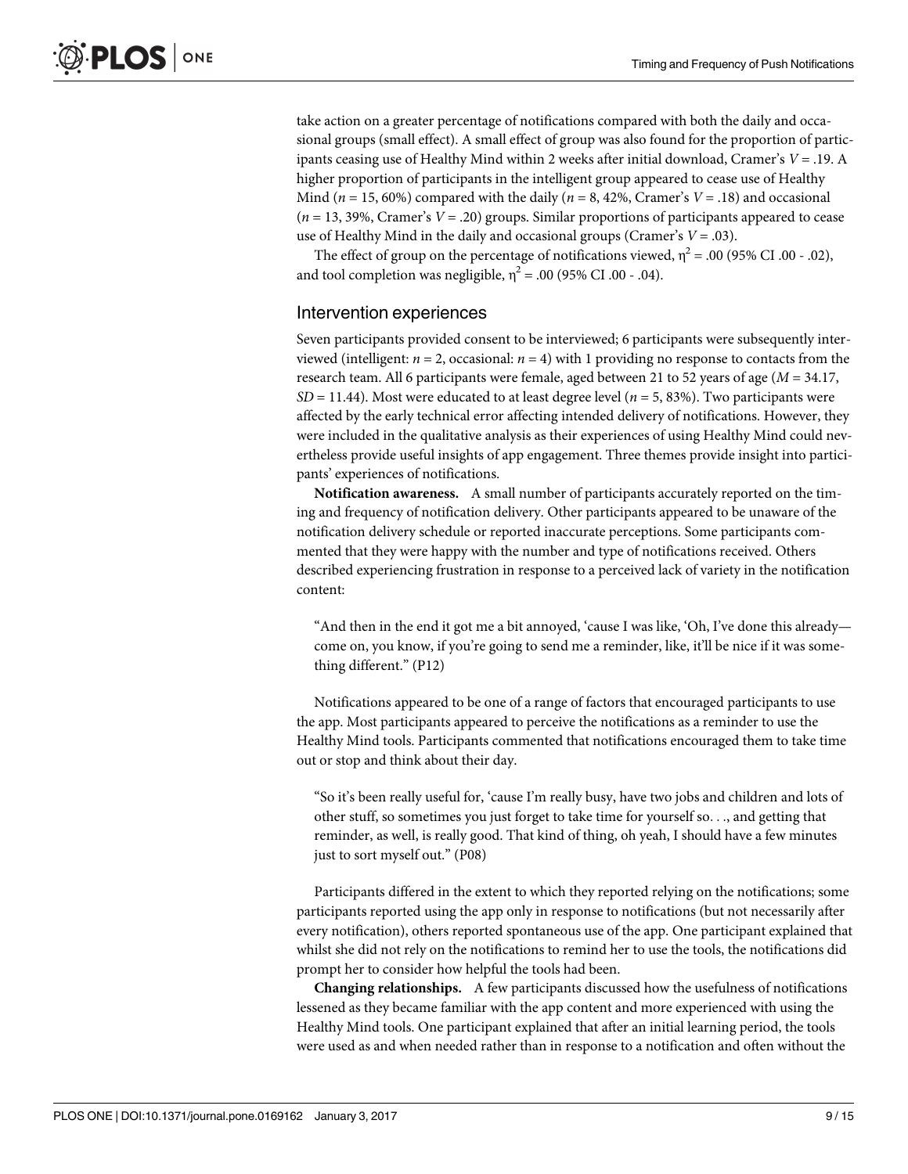take action on a greater percentage of notifications compared with both the daily and occasional groups (small effect). A small effect of group was also found for the proportion of participants ceasing use of Healthy Mind within 2 weeks after initial download, Cramer's *V* = .19. A higher proportion of participants in the intelligent group appeared to cease use of Healthy Mind ( $n = 15,60\%$ ) compared with the daily ( $n = 8,42\%$ , Cramer's  $V = .18$ ) and occasional (*n* = 13, 39%, Cramer's *V* = .20) groups. Similar proportions of participants appeared to cease use of Healthy Mind in the daily and occasional groups (Cramer's *V* = .03).

The effect of group on the percentage of notifications viewed,  $\eta^2 = .00$  (95% CI .00 - .02), and tool completion was negligible,  $\eta^2$  = .00 (95% CI .00 - .04).

#### Intervention experiences

Seven participants provided consent to be interviewed; 6 participants were subsequently interviewed (intelligent:  $n = 2$ , occasional:  $n = 4$ ) with 1 providing no response to contacts from the research team. All 6 participants were female, aged between 21 to 52 years of age (*M* = 34.17,  $SD = 11.44$ ). Most were educated to at least degree level ( $n = 5, 83%$ ). Two participants were affected by the early technical error affecting intended delivery of notifications. However, they were included in the qualitative analysis as their experiences of using Healthy Mind could nevertheless provide useful insights of app engagement. Three themes provide insight into participants' experiences of notifications.

**Notification awareness.** A small number of participants accurately reported on the timing and frequency of notification delivery. Other participants appeared to be unaware of the notification delivery schedule or reported inaccurate perceptions. Some participants commented that they were happy with the number and type of notifications received. Others described experiencing frustration in response to a perceived lack of variety in the notification content:

"And then in the end it got me a bit annoyed, 'cause I was like, 'Oh, I've done this already come on, you know, if you're going to send me a reminder, like, it'll be nice if it was something different." (P12)

Notifications appeared to be one of a range of factors that encouraged participants to use the app. Most participants appeared to perceive the notifications as a reminder to use the Healthy Mind tools. Participants commented that notifications encouraged them to take time out or stop and think about their day.

"So it's been really useful for, 'cause I'm really busy, have two jobs and children and lots of other stuff, so sometimes you just forget to take time for yourself so. . ., and getting that reminder, as well, is really good. That kind of thing, oh yeah, I should have a few minutes just to sort myself out." (P08)

Participants differed in the extent to which they reported relying on the notifications; some participants reported using the app only in response to notifications (but not necessarily after every notification), others reported spontaneous use of the app. One participant explained that whilst she did not rely on the notifications to remind her to use the tools, the notifications did prompt her to consider how helpful the tools had been.

**Changing relationships.** A few participants discussed how the usefulness of notifications lessened as they became familiar with the app content and more experienced with using the Healthy Mind tools. One participant explained that after an initial learning period, the tools were used as and when needed rather than in response to a notification and often without the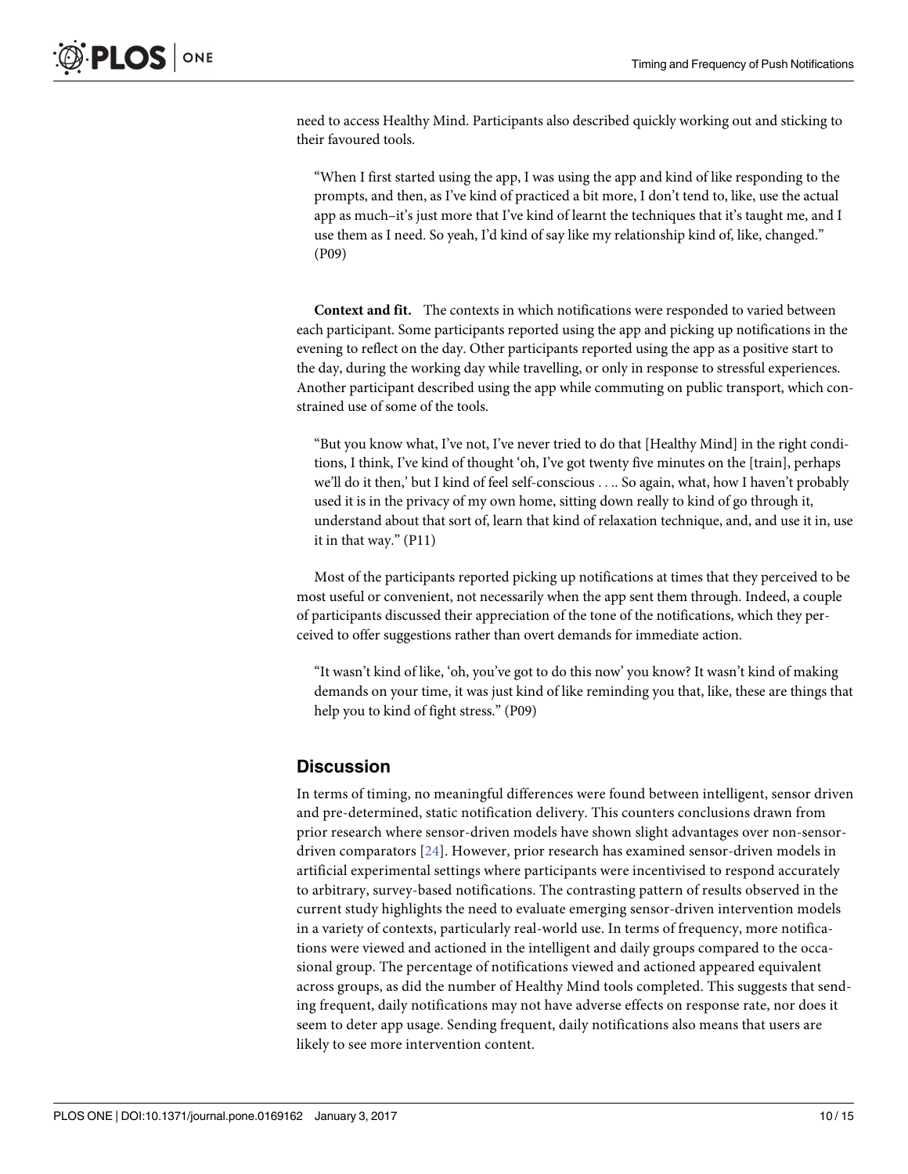need to access Healthy Mind. Participants also described quickly working out and sticking to their favoured tools.

"When I first started using the app, I was using the app and kind of like responding to the prompts, and then, as I've kind of practiced a bit more, I don't tend to, like, use the actual app as much–it's just more that I've kind of learnt the techniques that it's taught me, and I use them as I need. So yeah, I'd kind of say like my relationship kind of, like, changed." (P09)

**Context and fit.** The contexts in which notifications were responded to varied between each participant. Some participants reported using the app and picking up notifications in the evening to reflect on the day. Other participants reported using the app as a positive start to the day, during the working day while travelling, or only in response to stressful experiences. Another participant described using the app while commuting on public transport, which constrained use of some of the tools.

"But you know what, I've not, I've never tried to do that [Healthy Mind] in the right conditions, I think, I've kind of thought 'oh, I've got twenty five minutes on the [train], perhaps we'll do it then,' but I kind of feel self-conscious . . .. So again, what, how I haven't probably used it is in the privacy of my own home, sitting down really to kind of go through it, understand about that sort of, learn that kind of relaxation technique, and, and use it in, use it in that way." (P11)

Most of the participants reported picking up notifications at times that they perceived to be most useful or convenient, not necessarily when the app sent them through. Indeed, a couple of participants discussed their appreciation of the tone of the notifications, which they perceived to offer suggestions rather than overt demands for immediate action.

"It wasn't kind of like, 'oh, you've got to do this now' you know? It wasn't kind of making demands on your time, it was just kind of like reminding you that, like, these are things that help you to kind of fight stress." (P09)

### **Discussion**

In terms of timing, no meaningful differences were found between intelligent, sensor driven and pre-determined, static notification delivery. This counters conclusions drawn from prior research where sensor-driven models have shown slight advantages over non-sensordriven comparators [[24\]](#page-13-0). However, prior research has examined sensor-driven models in artificial experimental settings where participants were incentivised to respond accurately to arbitrary, survey-based notifications. The contrasting pattern of results observed in the current study highlights the need to evaluate emerging sensor-driven intervention models in a variety of contexts, particularly real-world use. In terms of frequency, more notifications were viewed and actioned in the intelligent and daily groups compared to the occasional group. The percentage of notifications viewed and actioned appeared equivalent across groups, as did the number of Healthy Mind tools completed. This suggests that sending frequent, daily notifications may not have adverse effects on response rate, nor does it seem to deter app usage. Sending frequent, daily notifications also means that users are likely to see more intervention content.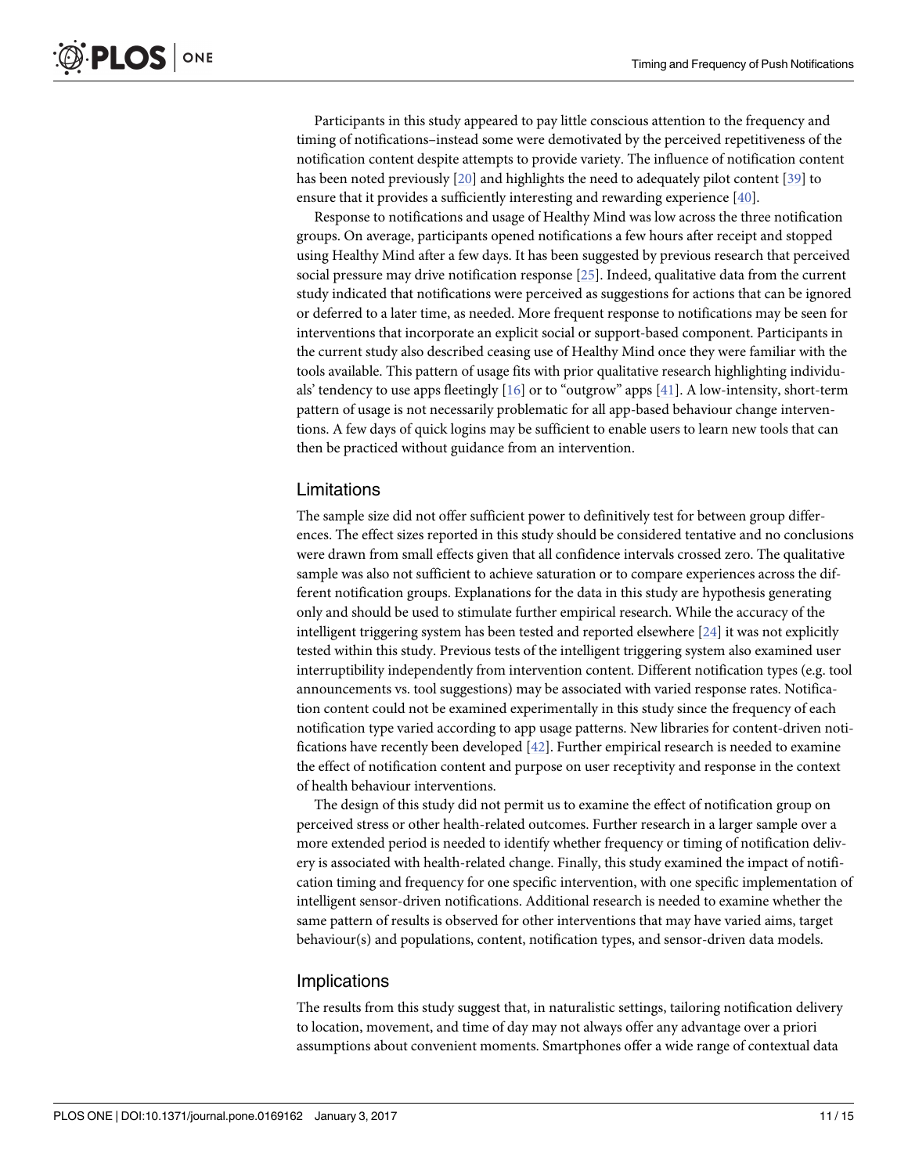<span id="page-10-0"></span>Participants in this study appeared to pay little conscious attention to the frequency and timing of notifications–instead some were demotivated by the perceived repetitiveness of the notification content despite attempts to provide variety. The influence of notification content has been noted previously [[20](#page-13-0)] and highlights the need to adequately pilot content [[39](#page-14-0)] to ensure that it provides a sufficiently interesting and rewarding experience [\[40\]](#page-14-0).

Response to notifications and usage of Healthy Mind was low across the three notification groups. On average, participants opened notifications a few hours after receipt and stopped using Healthy Mind after a few days. It has been suggested by previous research that perceived social pressure may drive notification response [[25](#page-13-0)]. Indeed, qualitative data from the current study indicated that notifications were perceived as suggestions for actions that can be ignored or deferred to a later time, as needed. More frequent response to notifications may be seen for interventions that incorporate an explicit social or support-based component. Participants in the current study also described ceasing use of Healthy Mind once they were familiar with the tools available. This pattern of usage fits with prior qualitative research highlighting individuals' tendency to use apps fleetingly  $[16]$  $[16]$  $[16]$  or to "outgrow" apps  $[41]$  $[41]$  $[41]$ . A low-intensity, short-term pattern of usage is not necessarily problematic for all app-based behaviour change interventions. A few days of quick logins may be sufficient to enable users to learn new tools that can then be practiced without guidance from an intervention.

#### Limitations

The sample size did not offer sufficient power to definitively test for between group differences. The effect sizes reported in this study should be considered tentative and no conclusions were drawn from small effects given that all confidence intervals crossed zero. The qualitative sample was also not sufficient to achieve saturation or to compare experiences across the different notification groups. Explanations for the data in this study are hypothesis generating only and should be used to stimulate further empirical research. While the accuracy of the intelligent triggering system has been tested and reported elsewhere [\[24\]](#page-13-0) it was not explicitly tested within this study. Previous tests of the intelligent triggering system also examined user interruptibility independently from intervention content. Different notification types (e.g. tool announcements vs. tool suggestions) may be associated with varied response rates. Notification content could not be examined experimentally in this study since the frequency of each notification type varied according to app usage patterns. New libraries for content-driven notifications have recently been developed [\[42\]](#page-14-0). Further empirical research is needed to examine the effect of notification content and purpose on user receptivity and response in the context of health behaviour interventions.

The design of this study did not permit us to examine the effect of notification group on perceived stress or other health-related outcomes. Further research in a larger sample over a more extended period is needed to identify whether frequency or timing of notification delivery is associated with health-related change. Finally, this study examined the impact of notification timing and frequency for one specific intervention, with one specific implementation of intelligent sensor-driven notifications. Additional research is needed to examine whether the same pattern of results is observed for other interventions that may have varied aims, target behaviour(s) and populations, content, notification types, and sensor-driven data models.

#### **Implications**

The results from this study suggest that, in naturalistic settings, tailoring notification delivery to location, movement, and time of day may not always offer any advantage over a priori assumptions about convenient moments. Smartphones offer a wide range of contextual data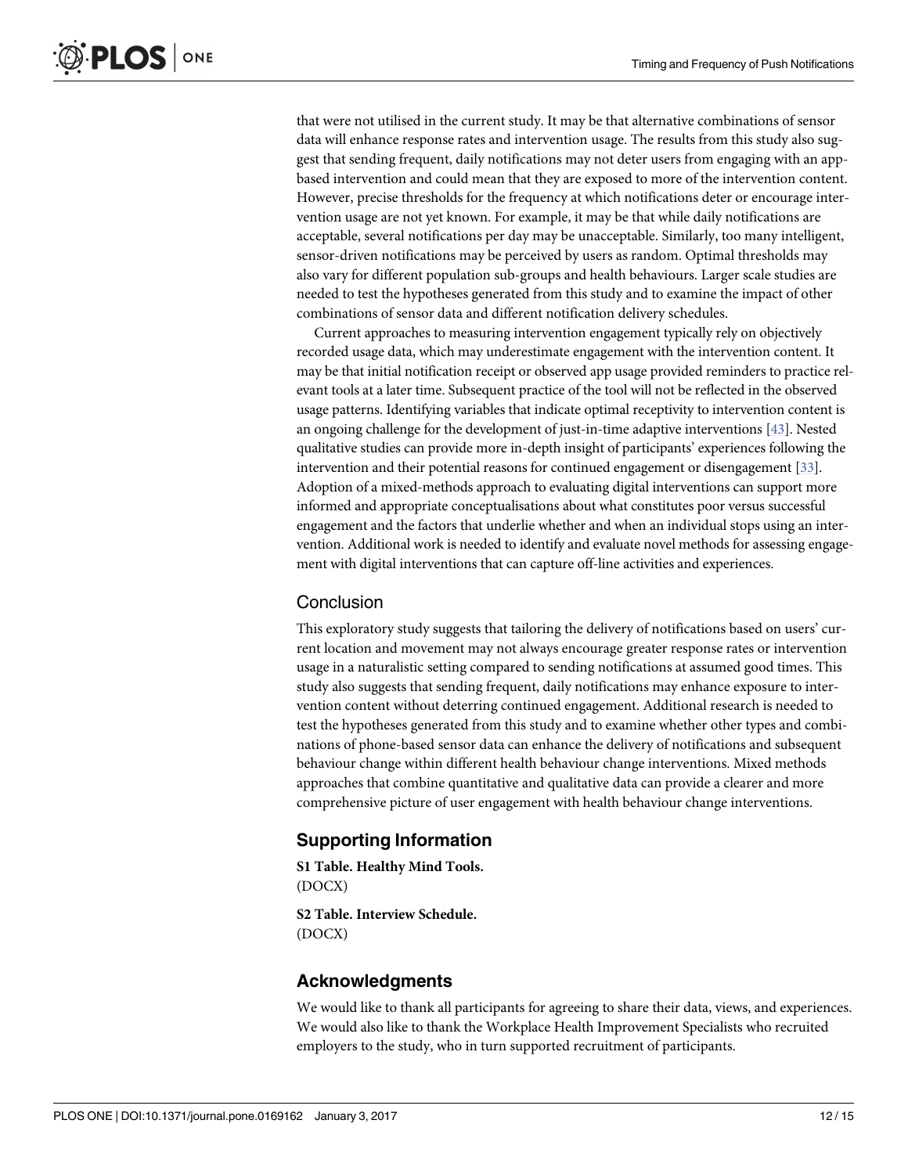<span id="page-11-0"></span>that were not utilised in the current study. It may be that alternative combinations of sensor data will enhance response rates and intervention usage. The results from this study also suggest that sending frequent, daily notifications may not deter users from engaging with an appbased intervention and could mean that they are exposed to more of the intervention content. However, precise thresholds for the frequency at which notifications deter or encourage intervention usage are not yet known. For example, it may be that while daily notifications are acceptable, several notifications per day may be unacceptable. Similarly, too many intelligent, sensor-driven notifications may be perceived by users as random. Optimal thresholds may also vary for different population sub-groups and health behaviours. Larger scale studies are needed to test the hypotheses generated from this study and to examine the impact of other combinations of sensor data and different notification delivery schedules.

Current approaches to measuring intervention engagement typically rely on objectively recorded usage data, which may underestimate engagement with the intervention content. It may be that initial notification receipt or observed app usage provided reminders to practice relevant tools at a later time. Subsequent practice of the tool will not be reflected in the observed usage patterns. Identifying variables that indicate optimal receptivity to intervention content is an ongoing challenge for the development of just-in-time adaptive interventions [[43](#page-14-0)]. Nested qualitative studies can provide more in-depth insight of participants' experiences following the intervention and their potential reasons for continued engagement or disengagement [[33](#page-14-0)]. Adoption of a mixed-methods approach to evaluating digital interventions can support more informed and appropriate conceptualisations about what constitutes poor versus successful engagement and the factors that underlie whether and when an individual stops using an intervention. Additional work is needed to identify and evaluate novel methods for assessing engagement with digital interventions that can capture off-line activities and experiences.

#### **Conclusion**

This exploratory study suggests that tailoring the delivery of notifications based on users' current location and movement may not always encourage greater response rates or intervention usage in a naturalistic setting compared to sending notifications at assumed good times. This study also suggests that sending frequent, daily notifications may enhance exposure to intervention content without deterring continued engagement. Additional research is needed to test the hypotheses generated from this study and to examine whether other types and combinations of phone-based sensor data can enhance the delivery of notifications and subsequent behaviour change within different health behaviour change interventions. Mixed methods approaches that combine quantitative and qualitative data can provide a clearer and more comprehensive picture of user engagement with health behaviour change interventions.

### **Supporting Information**

**S1 [Table.](http://www.plosone.org/article/fetchSingleRepresentation.action?uri=info:doi/10.1371/journal.pone.0169162.s001) Healthy Mind Tools.** (DOCX)

**S2 [Table.](http://www.plosone.org/article/fetchSingleRepresentation.action?uri=info:doi/10.1371/journal.pone.0169162.s002) Interview Schedule.** (DOCX)

#### **Acknowledgments**

We would like to thank all participants for agreeing to share their data, views, and experiences. We would also like to thank the Workplace Health Improvement Specialists who recruited employers to the study, who in turn supported recruitment of participants.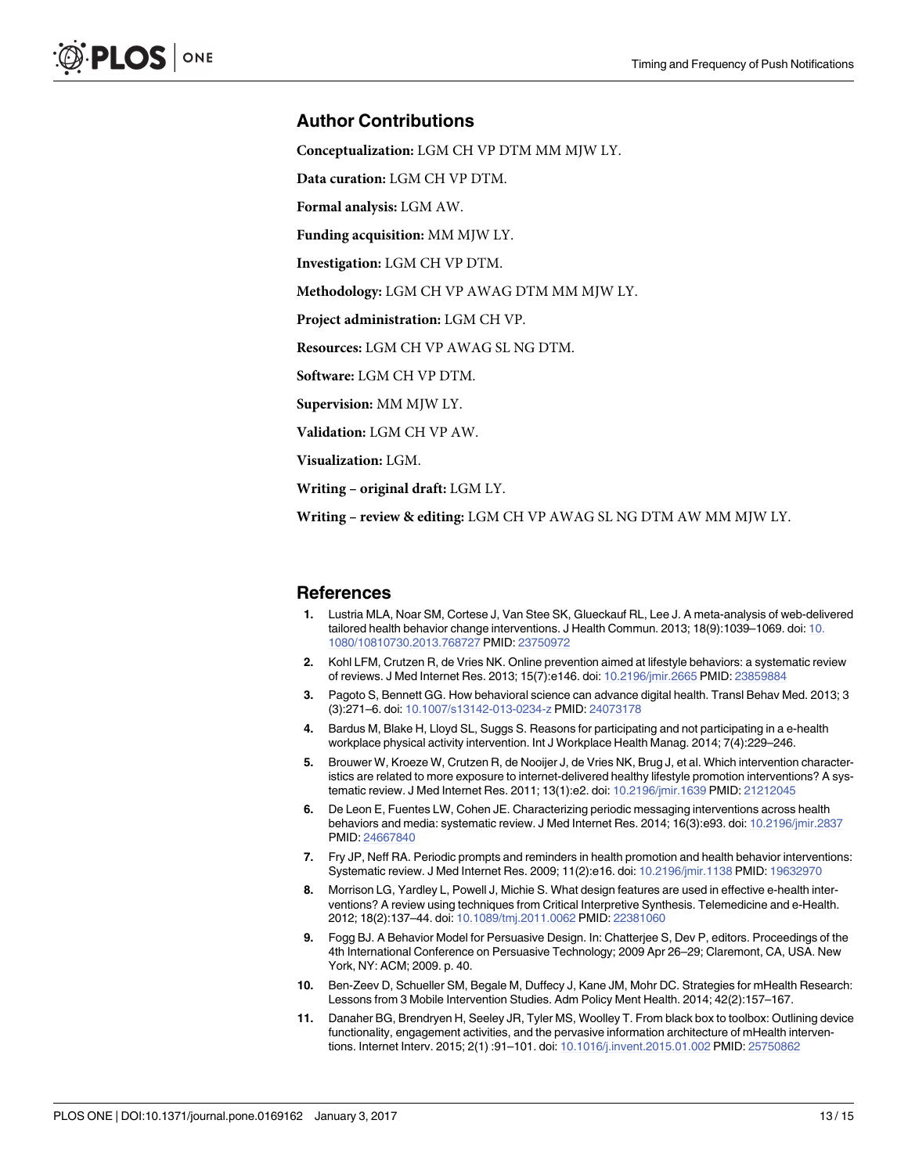#### <span id="page-12-0"></span>**Author Contributions**

**Conceptualization:** LGM CH VP DTM MM MJW LY.

**Data curation:** LGM CH VP DTM.

**Formal analysis:** LGM AW.

**Funding acquisition:** MM MJW LY.

**Investigation:** LGM CH VP DTM.

**Methodology:** LGM CH VP AWAG DTM MM MJW LY.

**Project administration:** LGM CH VP.

**Resources:** LGM CH VP AWAG SL NG DTM.

**Software:** LGM CH VP DTM.

**Supervision:** MM MJW LY.

**Validation:** LGM CH VP AW.

**Visualization:** LGM.

**Writing – original draft:** LGM LY.

**Writing – review & editing:** LGM CH VP AWAG SL NG DTM AW MM MJW LY.

#### **References**

- **[1](#page-1-0).** Lustria MLA, Noar SM, Cortese J, Van Stee SK, Glueckauf RL, Lee J. A meta-analysis of web-delivered tailored health behavior change interventions. J Health Commun. 2013; 18(9):1039–1069. doi: [10.](http://dx.doi.org/10.1080/10810730.2013.768727) [1080/10810730.2013.768727](http://dx.doi.org/10.1080/10810730.2013.768727) PMID: [23750972](http://www.ncbi.nlm.nih.gov/pubmed/23750972)
- **[2](#page-1-0).** Kohl LFM, Crutzen R, de Vries NK. Online prevention aimed at lifestyle behaviors: a systematic review of reviews. J Med Internet Res. 2013; 15(7):e146. doi: [10.2196/jmir.2665](http://dx.doi.org/10.2196/jmir.2665) PMID: [23859884](http://www.ncbi.nlm.nih.gov/pubmed/23859884)
- **[3](#page-1-0).** Pagoto S, Bennett GG. How behavioral science can advance digital health. Transl Behav Med. 2013; 3 (3):271–6. doi: [10.1007/s13142-013-0234-z](http://dx.doi.org/10.1007/s13142-013-0234-z) PMID: [24073178](http://www.ncbi.nlm.nih.gov/pubmed/24073178)
- **[4](#page-1-0).** Bardus M, Blake H, Lloyd SL, Suggs S. Reasons for participating and not participating in a e-health workplace physical activity intervention. Int J Workplace Health Manag. 2014; 7(4):229–246.
- **[5](#page-1-0).** Brouwer W, Kroeze W, Crutzen R, de Nooijer J, de Vries NK, Brug J, et al. Which intervention characteristics are related to more exposure to internet-delivered healthy lifestyle promotion interventions? A systematic review. J Med Internet Res. 2011; 13(1):e2. doi: [10.2196/jmir.1639](http://dx.doi.org/10.2196/jmir.1639) PMID: [21212045](http://www.ncbi.nlm.nih.gov/pubmed/21212045)
- **[6](#page-1-0).** De Leon E, Fuentes LW, Cohen JE. Characterizing periodic messaging interventions across health behaviors and media: systematic review. J Med Internet Res. 2014; 16(3):e93. doi: [10.2196/jmir.2837](http://dx.doi.org/10.2196/jmir.2837) PMID: [24667840](http://www.ncbi.nlm.nih.gov/pubmed/24667840)
- **[7](#page-1-0).** Fry JP, Neff RA. Periodic prompts and reminders in health promotion and health behavior interventions: Systematic review. J Med Internet Res. 2009; 11(2):e16. doi: [10.2196/jmir.1138](http://dx.doi.org/10.2196/jmir.1138) PMID: [19632970](http://www.ncbi.nlm.nih.gov/pubmed/19632970)
- **[8](#page-1-0).** Morrison LG, Yardley L, Powell J, Michie S. What design features are used in effective e-health interventions? A review using techniques from Critical Interpretive Synthesis. Telemedicine and e-Health. 2012; 18(2):137–44. doi: [10.1089/tmj.2011.0062](http://dx.doi.org/10.1089/tmj.2011.0062) PMID: [22381060](http://www.ncbi.nlm.nih.gov/pubmed/22381060)
- **[9](#page-1-0).** Fogg BJ. A Behavior Model for Persuasive Design. In: Chatterjee S, Dev P, editors. Proceedings of the 4th International Conference on Persuasive Technology; 2009 Apr 26–29; Claremont, CA, USA. New York, NY: ACM; 2009. p. 40.
- **[10](#page-1-0).** Ben-Zeev D, Schueller SM, Begale M, Duffecy J, Kane JM, Mohr DC. Strategies for mHealth Research: Lessons from 3 Mobile Intervention Studies. Adm Policy Ment Health. 2014; 42(2):157–167.
- **[11](#page-1-0).** Danaher BG, Brendryen H, Seeley JR, Tyler MS, Woolley T. From black box to toolbox: Outlining device functionality, engagement activities, and the pervasive information architecture of mHealth interventions. Internet Interv. 2015; 2(1) :91–101. doi: [10.1016/j.invent.2015.01.002](http://dx.doi.org/10.1016/j.invent.2015.01.002) PMID: [25750862](http://www.ncbi.nlm.nih.gov/pubmed/25750862)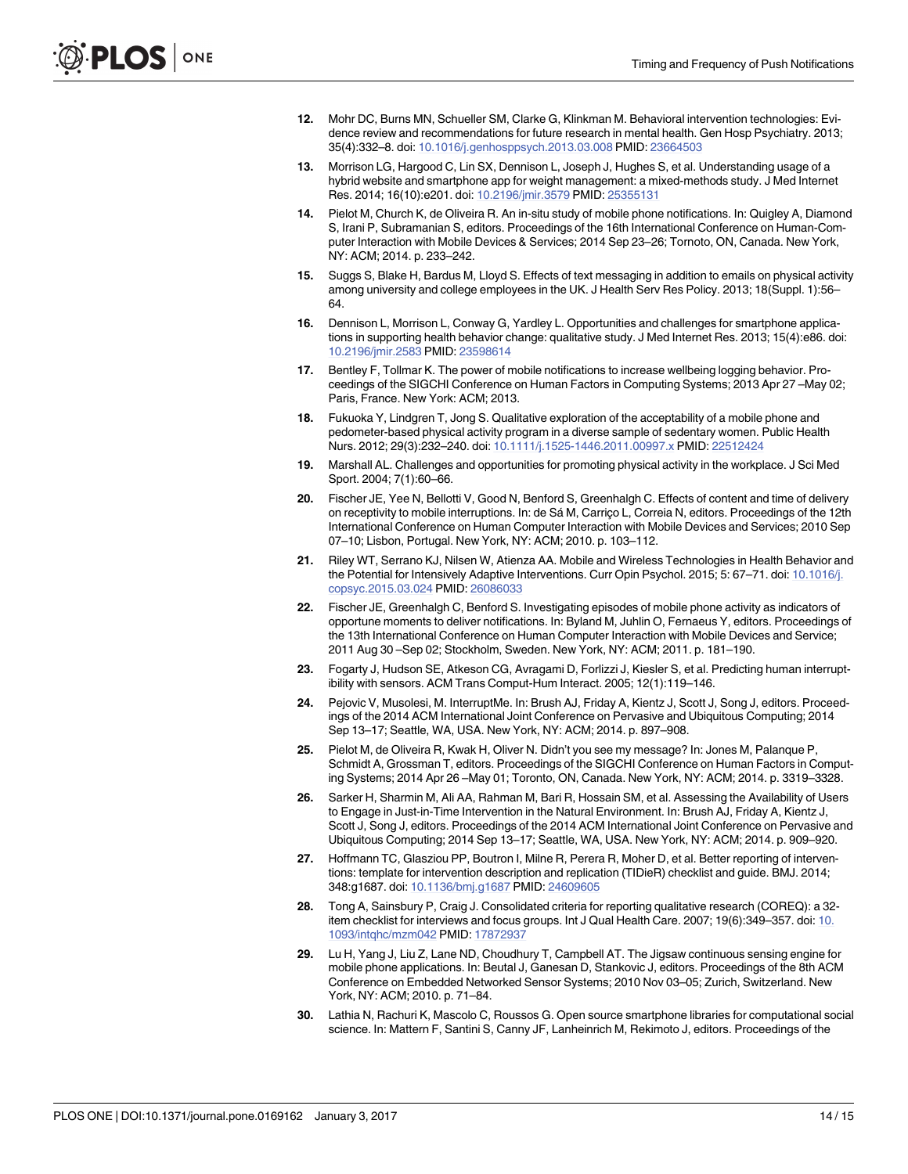- <span id="page-13-0"></span>**[12](#page-1-0).** Mohr DC, Burns MN, Schueller SM, Clarke G, Klinkman M. Behavioral intervention technologies: Evidence review and recommendations for future research in mental health. Gen Hosp Psychiatry. 2013; 35(4):332–8. doi: [10.1016/j.genhosppsych.2013.03.008](http://dx.doi.org/10.1016/j.genhosppsych.2013.03.008) PMID: [23664503](http://www.ncbi.nlm.nih.gov/pubmed/23664503)
- **[13](#page-1-0).** Morrison LG, Hargood C, Lin SX, Dennison L, Joseph J, Hughes S, et al. Understanding usage of a hybrid website and smartphone app for weight management: a mixed-methods study. J Med Internet Res. 2014; 16(10):e201. doi: [10.2196/jmir.3579](http://dx.doi.org/10.2196/jmir.3579) PMID: [25355131](http://www.ncbi.nlm.nih.gov/pubmed/25355131)
- **[14](#page-1-0).** Pielot M, Church K, de Oliveira R. An in-situ study of mobile phone notifications. In: Quigley A, Diamond S, Irani P, Subramanian S, editors. Proceedings of the 16th International Conference on Human-Computer Interaction with Mobile Devices & Services; 2014 Sep 23–26; Tornoto, ON, Canada. New York, NY: ACM; 2014. p. 233–242.
- **[15](#page-1-0).** Suggs S, Blake H, Bardus M, Lloyd S. Effects of text messaging in addition to emails on physical activity among university and college employees in the UK. J Health Serv Res Policy. 2013; 18(Suppl. 1):56– 64.
- **[16](#page-1-0).** Dennison L, Morrison L, Conway G, Yardley L. Opportunities and challenges for smartphone applications in supporting health behavior change: qualitative study. J Med Internet Res. 2013; 15(4):e86. doi: [10.2196/jmir.2583](http://dx.doi.org/10.2196/jmir.2583) PMID: [23598614](http://www.ncbi.nlm.nih.gov/pubmed/23598614)
- **[17](#page-3-0).** Bentley F, Tollmar K. The power of mobile notifications to increase wellbeing logging behavior. Proceedings of the SIGCHI Conference on Human Factors in Computing Systems; 2013 Apr 27 –May 02; Paris, France. New York: ACM; 2013.
- **18.** Fukuoka Y, Lindgren T, Jong S. Qualitative exploration of the acceptability of a mobile phone and pedometer-based physical activity program in a diverse sample of sedentary women. Public Health Nurs. 2012; 29(3):232–240. doi: [10.1111/j.1525-1446.2011.00997.x](http://dx.doi.org/10.1111/j.1525-1446.2011.00997.x) PMID: [22512424](http://www.ncbi.nlm.nih.gov/pubmed/22512424)
- **[19](#page-1-0).** Marshall AL. Challenges and opportunities for promoting physical activity in the workplace. J Sci Med Sport. 2004; 7(1):60–66.
- **[20](#page-1-0).** Fischer JE, Yee N, Bellotti V, Good N, Benford S, Greenhalgh C. Effects of content and time of delivery on receptivity to mobile interruptions. In: de Sá M, Carrico L, Correia N, editors. Proceedings of the 12th International Conference on Human Computer Interaction with Mobile Devices and Services; 2010 Sep 07–10; Lisbon, Portugal. New York, NY: ACM; 2010. p. 103–112.
- **[21](#page-1-0).** Riley WT, Serrano KJ, Nilsen W, Atienza AA. Mobile and Wireless Technologies in Health Behavior and the Potential for Intensively Adaptive Interventions. Curr Opin Psychol. 2015; 5: 67–71. doi: [10.1016/j.](http://dx.doi.org/10.1016/j.copsyc.2015.03.024) [copsyc.2015.03.024](http://dx.doi.org/10.1016/j.copsyc.2015.03.024) PMID: [26086033](http://www.ncbi.nlm.nih.gov/pubmed/26086033)
- **[22](#page-1-0).** Fischer JE, Greenhalgh C, Benford S. Investigating episodes of mobile phone activity as indicators of opportune moments to deliver notifications. In: Byland M, Juhlin O, Fernaeus Y, editors. Proceedings of the 13th International Conference on Human Computer Interaction with Mobile Devices and Service; 2011 Aug 30 –Sep 02; Stockholm, Sweden. New York, NY: ACM; 2011. p. 181–190.
- **23.** Fogarty J, Hudson SE, Atkeson CG, Avragami D, Forlizzi J, Kiesler S, et al. Predicting human interruptibility with sensors. ACM Trans Comput-Hum Interact. 2005; 12(1):119–146.
- **[24](#page-3-0).** Pejovic V, Musolesi, M. InterruptMe. In: Brush AJ, Friday A, Kientz J, Scott J, Song J, editors. Proceedings of the 2014 ACM International Joint Conference on Pervasive and Ubiquitous Computing; 2014 Sep 13–17; Seattle, WA, USA. New York, NY: ACM; 2014. p. 897–908.
- **[25](#page-10-0).** Pielot M, de Oliveira R, Kwak H, Oliver N. Didn't you see my message? In: Jones M, Palanque P, Schmidt A, Grossman T, editors. Proceedings of the SIGCHI Conference on Human Factors in Computing Systems; 2014 Apr 26 –May 01; Toronto, ON, Canada. New York, NY: ACM; 2014. p. 3319–3328.
- **[26](#page-1-0).** Sarker H, Sharmin M, Ali AA, Rahman M, Bari R, Hossain SM, et al. Assessing the Availability of Users to Engage in Just-in-Time Intervention in the Natural Environment. In: Brush AJ, Friday A, Kientz J, Scott J, Song J, editors. Proceedings of the 2014 ACM International Joint Conference on Pervasive and Ubiquitous Computing; 2014 Sep 13–17; Seattle, WA, USA. New York, NY: ACM; 2014. p. 909–920.
- **[27](#page-2-0).** Hoffmann TC, Glasziou PP, Boutron I, Milne R, Perera R, Moher D, et al. Better reporting of interventions: template for intervention description and replication (TIDieR) checklist and guide. BMJ. 2014; 348:g1687. doi: [10.1136/bmj.g1687](http://dx.doi.org/10.1136/bmj.g1687) PMID: [24609605](http://www.ncbi.nlm.nih.gov/pubmed/24609605)
- **[28](#page-2-0).** Tong A, Sainsbury P, Craig J. Consolidated criteria for reporting qualitative research (COREQ): a 32 item checklist for interviews and focus groups. Int J Qual Health Care. 2007; 19(6):349–357. doi: [10.](http://dx.doi.org/10.1093/intqhc/mzm042) [1093/intqhc/mzm042](http://dx.doi.org/10.1093/intqhc/mzm042) PMID: [17872937](http://www.ncbi.nlm.nih.gov/pubmed/17872937)
- **[29](#page-2-0).** Lu H, Yang J, Liu Z, Lane ND, Choudhury T, Campbell AT. The Jigsaw continuous sensing engine for mobile phone applications. In: Beutal J, Ganesan D, Stankovic J, editors. Proceedings of the 8th ACM Conference on Embedded Networked Sensor Systems; 2010 Nov 03–05; Zurich, Switzerland. New York, NY: ACM; 2010. p. 71–84.
- **[30](#page-3-0).** Lathia N, Rachuri K, Mascolo C, Roussos G. Open source smartphone libraries for computational social science. In: Mattern F, Santini S, Canny JF, Lanheinrich M, Rekimoto J, editors. Proceedings of the